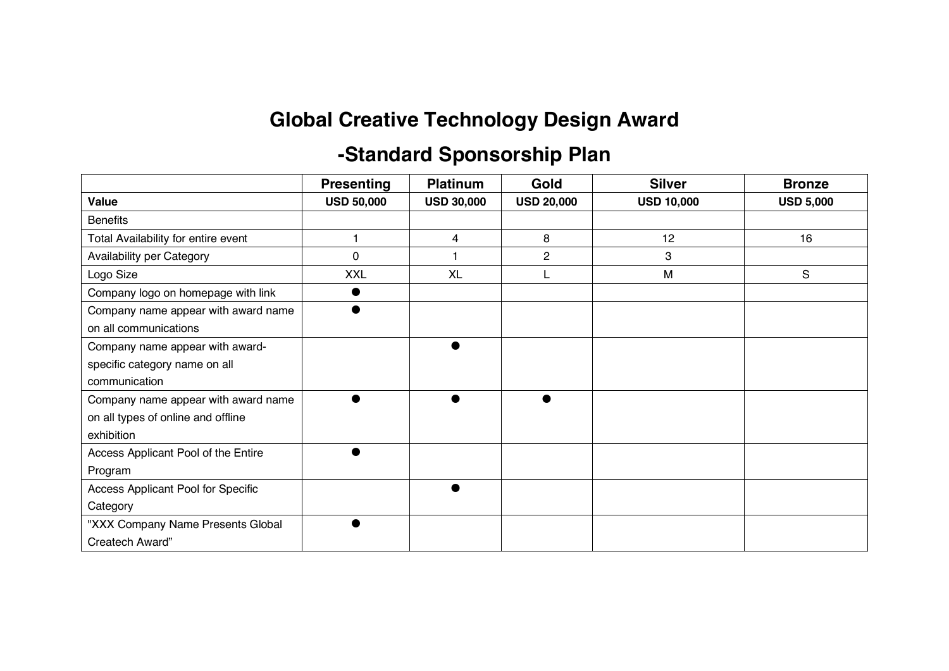## **Global Creative Technology Design Award**

## **-Standard Sponsorship Plan**

|                                     | <b>Presenting</b> | <b>Platinum</b>   | Gold              | <b>Silver</b>     | <b>Bronze</b>    |
|-------------------------------------|-------------------|-------------------|-------------------|-------------------|------------------|
| Value                               | <b>USD 50,000</b> | <b>USD 30,000</b> | <b>USD 20,000</b> | <b>USD 10,000</b> | <b>USD 5,000</b> |
| <b>Benefits</b>                     |                   |                   |                   |                   |                  |
| Total Availability for entire event |                   | 4                 | 8                 | 12                | 16               |
| Availability per Category           | 0                 |                   | $\overline{2}$    | 3                 |                  |
| Logo Size                           | <b>XXL</b>        | <b>XL</b>         |                   | M                 | S                |
| Company logo on homepage with link  |                   |                   |                   |                   |                  |
| Company name appear with award name |                   |                   |                   |                   |                  |
| on all communications               |                   |                   |                   |                   |                  |
| Company name appear with award-     |                   |                   |                   |                   |                  |
| specific category name on all       |                   |                   |                   |                   |                  |
| communication                       |                   |                   |                   |                   |                  |
| Company name appear with award name |                   |                   |                   |                   |                  |
| on all types of online and offline  |                   |                   |                   |                   |                  |
| exhibition                          |                   |                   |                   |                   |                  |
| Access Applicant Pool of the Entire |                   |                   |                   |                   |                  |
| Program                             |                   |                   |                   |                   |                  |
| Access Applicant Pool for Specific  |                   |                   |                   |                   |                  |
| Category                            |                   |                   |                   |                   |                  |
| "XXX Company Name Presents Global   |                   |                   |                   |                   |                  |
| Createch Award"                     |                   |                   |                   |                   |                  |